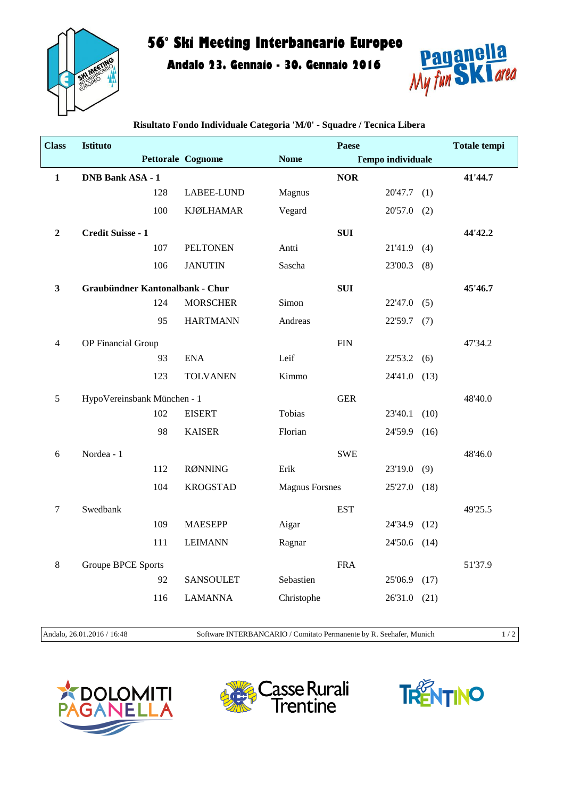

## **56° Ski Meeting Interbancario Europeo**

**Andalo 23. Gennaio - 30. Gennaio 2016**



| <b>Class</b>   | Istituto                        |     |                          |                       | Paese      |                          |      | <b>Totale tempi</b> |
|----------------|---------------------------------|-----|--------------------------|-----------------------|------------|--------------------------|------|---------------------|
|                |                                 |     | <b>Pettorale Cognome</b> | <b>Nome</b>           |            | <b>Tempo individuale</b> |      |                     |
| $\mathbf{1}$   | <b>DNB Bank ASA - 1</b>         |     |                          |                       | <b>NOR</b> |                          |      | 41'44.7             |
|                |                                 | 128 | LABEE-LUND               | Magnus                |            | $20'47.7$ (1)            |      |                     |
|                |                                 | 100 | <b>KJØLHAMAR</b>         | Vegard                |            | 20'57.0                  | (2)  |                     |
| $\overline{2}$ | Credit Suisse - 1               |     |                          |                       | <b>SUI</b> |                          |      | 44'42.2             |
|                |                                 | 107 | <b>PELTONEN</b>          | Antti                 |            | $21'41.9$ (4)            |      |                     |
|                |                                 | 106 | <b>JANUTIN</b>           | Sascha                |            | 23'00.3                  | (8)  |                     |
| 3              | Graubündner Kantonalbank - Chur |     |                          |                       | <b>SUI</b> |                          |      | 45'46.7             |
|                |                                 | 124 | <b>MORSCHER</b>          | Simon                 |            | 22'47.0                  | (5)  |                     |
|                |                                 | 95  | <b>HARTMANN</b>          | Andreas               |            | $22'59.7$ (7)            |      |                     |
| 4              | OP Financial Group              |     |                          |                       | <b>FIN</b> |                          |      | 47'34.2             |
|                |                                 | 93  | <b>ENA</b>               | Leif                  |            | 22'53.2                  | (6)  |                     |
|                |                                 | 123 | <b>TOLVANEN</b>          | Kimmo                 |            | 24'41.0                  | (13) |                     |
| $\mathfrak s$  | HypoVereinsbank München - 1     |     |                          |                       | <b>GER</b> |                          |      | 48'40.0             |
|                |                                 | 102 | <b>EISERT</b>            | Tobias                |            | 23'40.1                  | (10) |                     |
|                |                                 | 98  | <b>KAISER</b>            | Florian               |            | 24'59.9                  | (16) |                     |
| 6              | Nordea - 1                      |     |                          |                       | <b>SWE</b> |                          |      | 48'46.0             |
|                |                                 | 112 | <b>RØNNING</b>           | Erik                  |            | 23'19.0                  | (9)  |                     |
|                |                                 | 104 | <b>KROGSTAD</b>          | <b>Magnus Forsnes</b> |            | 25'27.0 (18)             |      |                     |
| $\tau$         | Swedbank                        |     |                          |                       | <b>EST</b> |                          |      | 49'25.5             |
|                |                                 | 109 | <b>MAESEPP</b>           | Aigar                 |            | 24'34.9                  | (12) |                     |
|                |                                 | 111 | <b>LEIMANN</b>           | Ragnar                |            | 24'50.6 (14)             |      |                     |
| 8              | Groupe BPCE Sports              |     |                          |                       | <b>FRA</b> |                          |      | 51'37.9             |
|                |                                 | 92  | <b>SANSOULET</b>         | Sebastien             |            | 25'06.9                  | (17) |                     |
|                |                                 | 116 | <b>LAMANNA</b>           | Christophe            |            | 26'31.0                  | (21) |                     |
|                |                                 |     |                          |                       |            |                          |      |                     |

**Risultato Fondo Individuale Categoria 'M/0' - Squadre / Tecnica Libera**

Andalo, 26.01.2016 / 16:48 Software INTERBANCARIO / Comitato Permanente by R. Seehafer, Munich 1 / 2